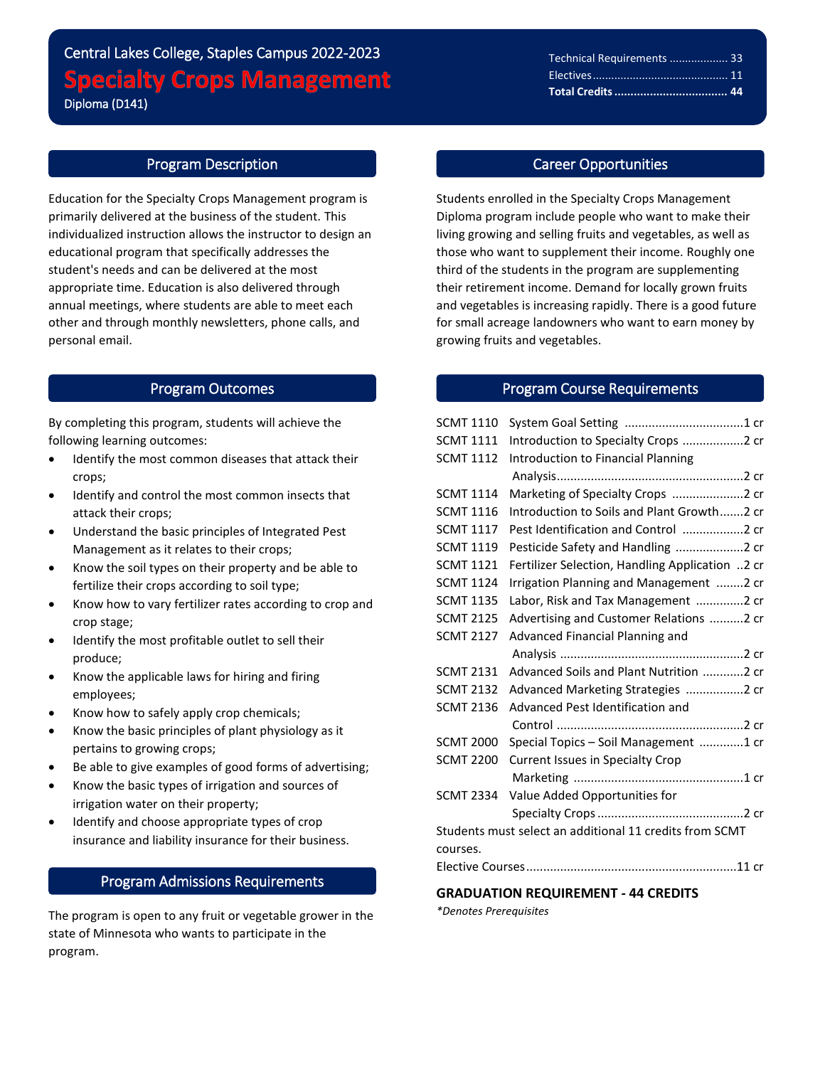# Central Lakes College, Staples Campus 2022-2023 **Specialty Crops Management** Diploma (D141)

### Program Description

l

Education for the Specialty Crops Management program is primarily delivered at the business of the student. This individualized instruction allows the instructor to design an educational program that specifically addresses the student's needs and can be delivered at the most appropriate time. Education is also delivered through annual meetings, where students are able to meet each other and through monthly newsletters, phone calls, and personal email.

## Program Outcomes

By completing this program, students will achieve the following learning outcomes:

- $\bullet$  Identify the most common diseases that attack their crops;
- Identify and control the most common insects that attack their crops;
- Understand the basic principles of Integrated Pest Management as it relates to their crops;
- Know the soil types on their property and be able to fertilize their crops according to soil type;
- Know how to vary fertilizer rates according to crop and crop stage;
- Identify the most profitable outlet to sell their produce;
- Know the applicable laws for hiring and firing employees;
- Know how to safely apply crop chemicals;
- Know the basic principles of plant physiology as it pertains to growing crops;
- Be able to give examples of good forms of advertising;
- Know the basic types of irrigation and sources of irrigation water on their property;
- Identify and choose appropriate types of crop insurance and liability insurance for their business.

## Program Admissions Requirements

The program is open to any fruit or vegetable grower in the state of Minnesota who wants to participate in the program.

#### Technical Requirements ................... 33 Electives............................................ 11 **Total Credits................................... 44**

#### Career Opportunities

Students enrolled in the Specialty Crops Management Diploma program include people who want to make their living growing and selling fruits and vegetables, as well as those who want to supplement their income. Roughly one third of the students in the program are supplementing their retirement income. Demand for locally grown fruits and vegetables is increasing rapidly. There is a good future for small acreage landowners who want to earn money by growing fruits and vegetables.

#### Program Course Requirements

| <b>SCMT 1110</b>                                        |                                                 |
|---------------------------------------------------------|-------------------------------------------------|
| <b>SCMT 1111</b>                                        | Introduction to Specialty Crops 2 cr            |
| <b>SCMT 1112</b>                                        | Introduction to Financial Planning              |
|                                                         |                                                 |
| <b>SCMT 1114</b>                                        | Marketing of Specialty Crops 2 cr               |
| <b>SCMT 1116</b>                                        | Introduction to Soils and Plant Growth2 cr      |
| <b>SCMT 1117</b>                                        | Pest Identification and Control 2 cr            |
| <b>SCMT 1119</b>                                        | Pesticide Safety and Handling 2 cr              |
| <b>SCMT 1121</b>                                        | Fertilizer Selection, Handling Application 2 cr |
| <b>SCMT 1124</b>                                        | Irrigation Planning and Management 2 cr         |
| <b>SCMT 1135</b>                                        | Labor, Risk and Tax Management 2 cr             |
| <b>SCMT 2125</b>                                        | Advertising and Customer Relations 2 cr         |
| <b>SCMT 2127</b>                                        | Advanced Financial Planning and                 |
|                                                         |                                                 |
| <b>SCMT 2131</b>                                        | Advanced Soils and Plant Nutrition 2 cr         |
| <b>SCMT 2132</b>                                        | Advanced Marketing Strategies 2 cr              |
| <b>SCMT 2136</b>                                        | Advanced Pest Identification and                |
|                                                         |                                                 |
| <b>SCMT 2000</b>                                        | Special Topics - Soil Management 1 cr           |
| <b>SCMT 2200</b>                                        | <b>Current Issues in Specialty Crop</b>         |
|                                                         |                                                 |
| <b>SCMT 2334</b>                                        | Value Added Opportunities for                   |
|                                                         |                                                 |
| Students must select an additional 11 credits from SCMT |                                                 |
| courses.                                                |                                                 |
|                                                         |                                                 |
|                                                         |                                                 |

#### **GRADUATION REQUIREMENT - 44 CREDITS**

*\*Denotes Prerequisites*